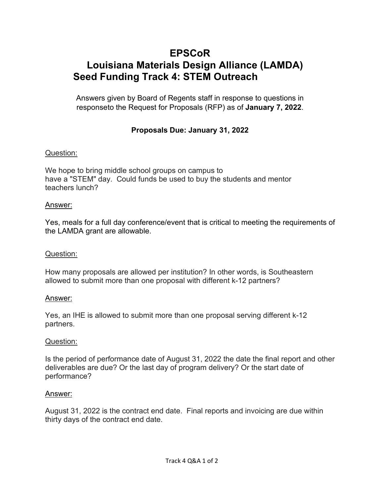# **EPSCoR Louisiana Materials Design Alliance (LAMDA) Seed Funding Track 4: STEM Outreach**

Answers given by Board of Regents staff in response to questions in responseto the Request for Proposals (RFP) as of **January 7, 2022**.

# **Proposals Due: January 31, 2022**

# Question:

We hope to bring middle school groups on campus to have a "STEM" day. Could funds be used to buy the students and mentor teachers lunch?

#### Answer:

Yes, meals for a full day conference/event that is critical to meeting the requirements of the LAMDA grant are allowable.

## Question:

How many proposals are allowed per institution? In other words, is Southeastern allowed to submit more than one proposal with different k-12 partners?

#### Answer:

Yes, an IHE is allowed to submit more than one proposal serving different k-12 partners.

#### Question:

Is the period of performance date of August 31, 2022 the date the final report and other deliverables are due? Or the last day of program delivery? Or the start date of performance?

#### Answer:

August 31, 2022 is the contract end date. Final reports and invoicing are due within thirty days of the contract end date.